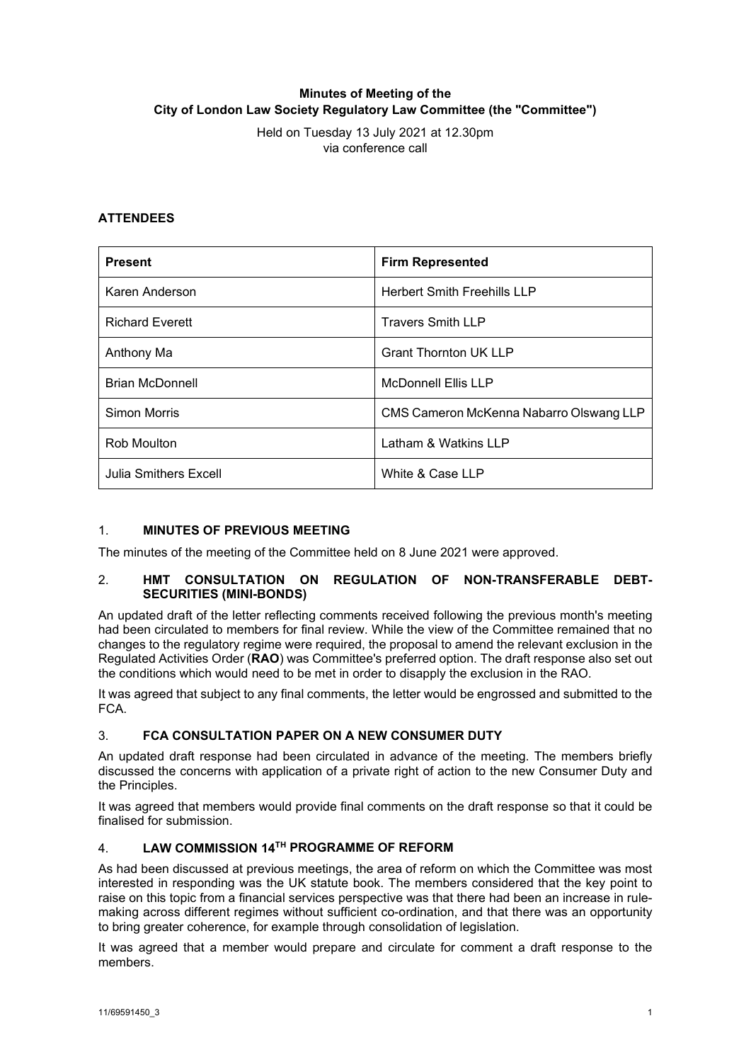# **Minutes of Meeting of the City of London Law Society Regulatory Law Committee (the "Committee")**

Held on Tuesday 13 July 2021 at 12.30pm via conference call

## **ATTENDEES**

| <b>Present</b>         | <b>Firm Represented</b>                 |
|------------------------|-----------------------------------------|
| Karen Anderson         | <b>Herbert Smith Freehills LLP</b>      |
| <b>Richard Everett</b> | <b>Travers Smith LLP</b>                |
| Anthony Ma             | <b>Grant Thornton UK LLP</b>            |
| <b>Brian McDonnell</b> | <b>McDonnell Ellis LLP</b>              |
| Simon Morris           | CMS Cameron McKenna Nabarro Olswang LLP |
| Rob Moulton            | Latham & Watkins LLP                    |
| Julia Smithers Excell  | White & Case LLP                        |

## 1. **MINUTES OF PREVIOUS MEETING**

The minutes of the meeting of the Committee held on 8 June 2021 were approved.

## 2. **HMT CONSULTATION ON REGULATION OF NON-TRANSFERABLE DEBT-SECURITIES (MINI-BONDS)**

An updated draft of the letter reflecting comments received following the previous month's meeting had been circulated to members for final review. While the view of the Committee remained that no changes to the regulatory regime were required, the proposal to amend the relevant exclusion in the Regulated Activities Order (**RAO**) was Committee's preferred option. The draft response also set out the conditions which would need to be met in order to disapply the exclusion in the RAO.

It was agreed that subject to any final comments, the letter would be engrossed and submitted to the FCA.

## 3. **FCA CONSULTATION PAPER ON A NEW CONSUMER DUTY**

An updated draft response had been circulated in advance of the meeting. The members briefly discussed the concerns with application of a private right of action to the new Consumer Duty and the Principles.

It was agreed that members would provide final comments on the draft response so that it could be finalised for submission.

## 4. **LAW COMMISSION 14TH PROGRAMME OF REFORM**

As had been discussed at previous meetings, the area of reform on which the Committee was most interested in responding was the UK statute book. The members considered that the key point to raise on this topic from a financial services perspective was that there had been an increase in rulemaking across different regimes without sufficient co-ordination, and that there was an opportunity to bring greater coherence, for example through consolidation of legislation.

It was agreed that a member would prepare and circulate for comment a draft response to the members.